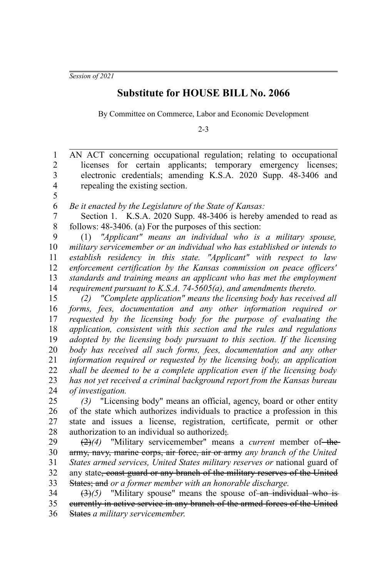*Session of 2021*

5

## **Substitute for HOUSE BILL No. 2066**

By Committee on Commerce, Labor and Economic Development

2-3

AN ACT concerning occupational regulation; relating to occupational licenses for certain applicants; temporary emergency licenses; electronic credentials; amending K.S.A. 2020 Supp. 48-3406 and repealing the existing section. 1 2 3 4

*Be it enacted by the Legislature of the State of Kansas:* 6

Section 1. K.S.A. 2020 Supp. 48-3406 is hereby amended to read as follows: 48-3406. (a) For the purposes of this section: 7 8

(1) *"Applicant" means an individual who is a military spouse, military servicemember or an individual who has established or intends to establish residency in this state. "Applicant" with respect to law enforcement certification by the Kansas commission on peace officers' standards and training means an applicant who has met the employment requirement pursuant to K.S.A. 74-5605(a), and amendments thereto.* 9 10 11 12 13 14

*(2) "Complete application" means the licensing body has received all forms, fees, documentation and any other information required or requested by the licensing body for the purpose of evaluating the application, consistent with this section and the rules and regulations adopted by the licensing body pursuant to this section. If the licensing body has received all such forms, fees, documentation and any other information required or requested by the licensing body, an application shall be deemed to be a complete application even if the licensing body has not yet received a criminal background report from the Kansas bureau of investigation.* 15 16 17 18 19 20 21 22 23 24

*(3)* "Licensing body" means an official, agency, board or other entity of the state which authorizes individuals to practice a profession in this state and issues a license, registration, certificate, permit or other authorization to an individual so authorized;*.* 25 26 27 28

(2)(4) "Military servicemember" means a *current* member of the army, navy, marine corps, air force, air or army *any branch of the United States armed services, United States military reserves or* national guard of any state, coast guard or any branch of the military reserves of the United States; and *or a former member with an honorable discharge.* 29 30 31 32 33

 $(3)(5)$  "Military spouse" means the spouse of an individual who is currently in active service in any branch of the armed forces of the United States *a military servicemember*. 34 35 36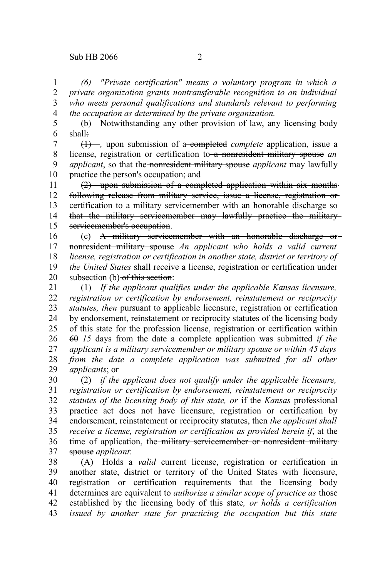*(6) "Private certification" means a voluntary program in which a private organization grants nontransferable recognition to an individual who meets personal qualifications and standards relevant to performing the occupation as determined by the private organization.* 1 2 3 4

(b) Notwithstanding any other provision of law, any licensing body shall: 5 6

(1) –, upon submission of a-completed *complete* application, issue a license, registration or certification to a nonresident military spouse *an applicant*, so that the nonresident military spouse *applicant* may lawfully practice the person's occupation; and 7 8 9 10

(2) upon submission of a completed application within six months following release from military service, issue a license, registration or certification to a military servicemember with an honorable discharge so that the military servicemember may lawfully practice the military servicemember's occupation. 11 12 13 14 15

(c) A military servicemember with an honorable discharge or nonresident military spouse *An applicant who holds a valid current license, registration or certification in another state, district or territory of the United States* shall receive a license, registration or certification under subsection (b) of this section: 16 17 18 19 20

(1) *If the applicant qualifies under the applicable Kansas licensure, registration or certification by endorsement, reinstatement or reciprocity statutes, then* pursuant to applicable licensure, registration or certification by endorsement, reinstatement or reciprocity statutes of the licensing body of this state for the profession license, registration or certification within 60 *15* days from the date a complete application was submitted *if the applicant is a military servicemember or military spouse or within 45 days from the date a complete application was submitted for all other applicants*; or 21 22 23 24 25 26 27 28 29

(2) *if the applicant does not qualify under the applicable licensure, registration or certification by endorsement, reinstatement or reciprocity statutes of the licensing body of this state, or* if the *Kansas* professional practice act does not have licensure, registration or certification by endorsement, reinstatement or reciprocity statutes, then *the applicant shall receive a license, registration or certification as provided herein if*, at the time of application, the military servicemember or nonresident militaryspouse *applicant*: 30 31 32 33 34 35 36 37

(A) Holds a *valid* current license, registration or certification in another state, district or territory of the United States with licensure, registration or certification requirements that the licensing body determines are equivalent to *authorize a similar scope of practice as* those established by the licensing body of this state*, or holds a certification issued by another state for practicing the occupation but this state* 38 39 40 41 42 43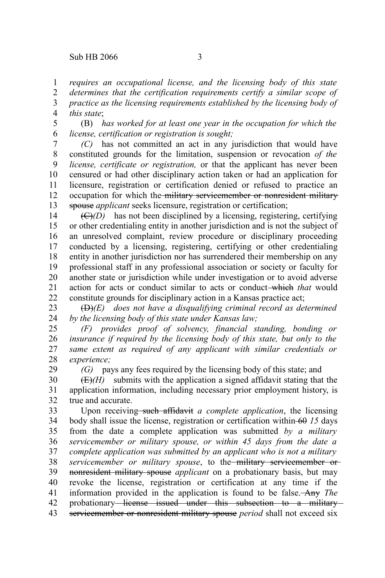29

*requires an occupational license, and the licensing body of this state determines that the certification requirements certify a similar scope of* 1 2

*practice as the licensing requirements established by the licensing body of this state*; 3 4

(B) *has worked for at least one year in the occupation for which the license, certification or registration is sought;* 5 6

*(C)* has not committed an act in any jurisdiction that would have constituted grounds for the limitation, suspension or revocation *of the license, certificate or registration,* or that the applicant has never been censured or had other disciplinary action taken or had an application for licensure, registration or certification denied or refused to practice an occupation for which the military servicemember or nonresident military spouse *applicant* seeks licensure, registration or certification; 7 8 9 10 11 12 13

 $(\overline{C})(D)$  has not been disciplined by a licensing, registering, certifying or other credentialing entity in another jurisdiction and is not the subject of an unresolved complaint, review procedure or disciplinary proceeding conducted by a licensing, registering, certifying or other credentialing entity in another jurisdiction nor has surrendered their membership on any professional staff in any professional association or society or faculty for another state or jurisdiction while under investigation or to avoid adverse action for acts or conduct similar to acts or conduct which *that* would constitute grounds for disciplinary action in a Kansas practice act; 14 15 16 17 18 19 20 21 22

(D)*(E) does not have a disqualifying criminal record as determined by the licensing body of this state under Kansas law;* 23 24

*(F) provides proof of solvency, financial standing, bonding or insurance if required by the licensing body of this state, but only to the same extent as required of any applicant with similar credentials or experience;* 25 26 27 28

*(G)* pays any fees required by the licensing body of this state; and

 $(E)(H)$  submits with the application a signed affidavit stating that the application information, including necessary prior employment history, is true and accurate. 30 31 32

Upon receiving such affidavit *a complete application*, the licensing body shall issue the license, registration or certification within 60 *15* days from the date a complete application was submitted *by a military servicemember or military spouse, or within 45 days from the date a complete application was submitted by an applicant who is not a military servicemember or military spouse*, to the military servicemember or nonresident military spouse *applicant* on a probationary basis, but may revoke the license, registration or certification at any time if the information provided in the application is found to be false. Any *The* probationary license issued under this subsection to a military servicemember or nonresident military spouse *period* shall not exceed six 33 34 35 36 37 38 39 40 41 42 43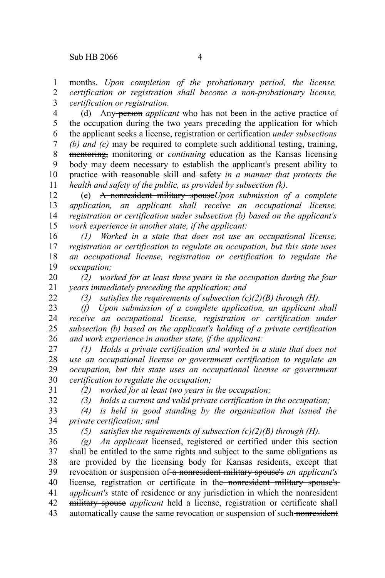months. *Upon completion of the probationary period, the license, certification or registration shall become a non-probationary license, certification or registration.* 1 2 3

(d) Any person *applicant* who has not been in the active practice of the occupation during the two years preceding the application for which the applicant seeks a license, registration or certification *under subsections (b) and (c)* may be required to complete such additional testing, training, mentoring, monitoring or *continuing* education as the Kansas licensing body may deem necessary to establish the applicant's present ability to practice with reasonable skill and safety *in a manner that protects the health and safety of the public, as provided by subsection (k)*. 4 5 6 7 8 9 10 11

(e) A nonresident military spouse*Upon submission of a complete application, an applicant shall receive an occupational license, registration or certification under subsection (b) based on the applicant's work experience in another state, if the applicant:* 12 13 14 15

*(1) Worked in a state that does not use an occupational license, registration or certification to regulate an occupation, but this state uses an occupational license, registration or certification to regulate the occupation;* 16 17 18 19

*(2) worked for at least three years in the occupation during the four years immediately preceding the application; and* 20 21

*(3) satisfies the requirements of subsection (c)(2)(B) through (H).*

*(f) Upon submission of a complete application, an applicant shall receive an occupational license, registration or certification under subsection (b) based on the applicant's holding of a private certification and work experience in another state, if the applicant:* 23 24 25 26

*(1) Holds a private certification and worked in a state that does not use an occupational license or government certification to regulate an occupation, but this state uses an occupational license or government certification to regulate the occupation;* 27 28 29 30

31 32

22

*(2) worked for at least two years in the occupation;*

*(3) holds a current and valid private certification in the occupation;*

*(4) is held in good standing by the organization that issued the private certification; and* 33 34

35

*(5) satisfies the requirements of subsection (c)(2)(B) through (H).*

*(g) An applicant* licensed, registered or certified under this section shall be entitled to the same rights and subject to the same obligations as are provided by the licensing body for Kansas residents, except that revocation or suspension of a nonresident military spouse's *an applicant's* license, registration or certificate in the nonresident military spouse's *applicant's* state of residence or any jurisdiction in which the nonresident military spouse *applicant* held a license, registration or certificate shall automatically cause the same revocation or suspension of such nonresident 36 37 38 39 40 41 42 43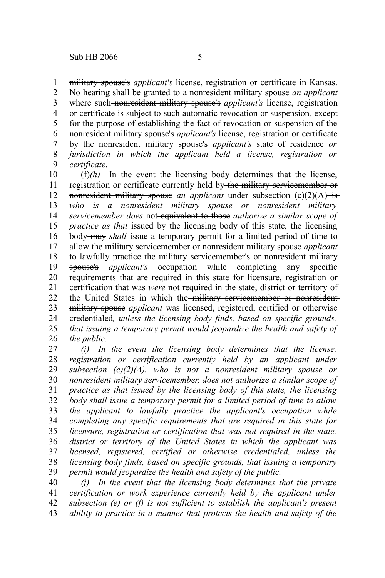military spouse's *applicant's* license, registration or certificate in Kansas. No hearing shall be granted to a nonresident military spouse *an applicant* where such nonresident military spouse's *applicant's* license, registration or certificate is subject to such automatic revocation or suspension*,* except for the purpose of establishing the fact of revocation or suspension of the nonresident military spouse's *applicant's* license, registration or certificate by the nonresident military spouse's *applicant's* state of residence *or jurisdiction in which the applicant held a license, registration or certificate*. 1 2 3 4 5 6 7 8 9

 $(f)$ (h) In the event the licensing body determines that the license, registration or certificate currently held by the military servicemember or nonresident military spouse *an applicant* under subsection (c)(2)(A) is *who is a nonresident military spouse or nonresident military servicemember does* not equivalent to those *authorize a similar scope of practice as that* issued by the licensing body of this state, the licensing body may *shall* issue a temporary permit for a limited period of time to allow the military servicemember or nonresident military spouse *applicant* to lawfully practice the military servicemember's or nonresident military spouse's *applicant's* occupation while completing any specific requirements that are required in this state for licensure, registration or certification that was *were* not required in the state, district or territory of the United States in which the military servicemember or nonresident military spouse *applicant* was licensed, registered, certified or otherwise credentialed*, unless the licensing body finds, based on specific grounds, that issuing a temporary permit would jeopardize the health and safety of the public.* 10 11 12 13 14 15 16 17 18 19 20 21 22 23 24 25 26

*(i) In the event the licensing body determines that the license, registration or certification currently held by an applicant under subsection (c)(2)(A), who is not a nonresident military spouse or nonresident military servicemember, does not authorize a similar scope of practice as that issued by the licensing body of this state, the licensing body shall issue a temporary permit for a limited period of time to allow the applicant to lawfully practice the applicant's occupation while completing any specific requirements that are required in this state for licensure, registration or certification that was not required in the state, district or territory of the United States in which the applicant was licensed, registered, certified or otherwise credentialed, unless the licensing body finds, based on specific grounds, that issuing a temporary permit would jeopardize the health and safety of the public.* 27 28 29 30 31 32 33 34 35 36 37 38 39

*(j) In the event that the licensing body determines that the private certification or work experience currently held by the applicant under subsection (e) or (f) is not sufficient to establish the applicant's present ability to practice in a manner that protects the health and safety of the* 40 41 42 43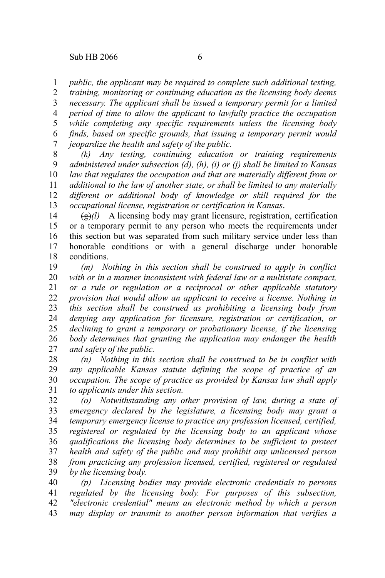*public, the applicant may be required to complete such additional testing,* 1

*training, monitoring or continuing education as the licensing body deems necessary. The applicant shall be issued a temporary permit for a limited period of time to allow the applicant to lawfully practice the occupation while completing any specific requirements unless the licensing body finds, based on specific grounds, that issuing a temporary permit would jeopardize the health and safety of the public.* 2 3 4 5 6 7

*(k) Any testing, continuing education or training requirements administered under subsection (d), (h), (i) or (j) shall be limited to Kansas law that regulates the occupation and that are materially different from or additional to the law of another state, or shall be limited to any materially different or additional body of knowledge or skill required for the occupational license, registration or certification in Kansas*. 8 9 10 11 12 13

 $\left(\frac{g}{g}\right)$  A licensing body may grant licensure, registration, certification or a temporary permit to any person who meets the requirements under this section but was separated from such military service under less than honorable conditions or with a general discharge under honorable conditions. 14 15 16 17 18

*(m) Nothing in this section shall be construed to apply in conflict with or in a manner inconsistent with federal law or a multistate compact, or a rule or regulation or a reciprocal or other applicable statutory provision that would allow an applicant to receive a license. Nothing in this section shall be construed as prohibiting a licensing body from denying any application for licensure, registration or certification, or declining to grant a temporary or probationary license, if the licensing body determines that granting the application may endanger the health and safety of the public.* 19 20 21 22 23 24 25 26 27

*(n) Nothing in this section shall be construed to be in conflict with any applicable Kansas statute defining the scope of practice of an occupation. The scope of practice as provided by Kansas law shall apply to applicants under this section.* 28 29 30 31

*(o) Notwithstanding any other provision of law, during a state of emergency declared by the legislature, a licensing body may grant a temporary emergency license to practice any profession licensed, certified, registered or regulated by the licensing body to an applicant whose qualifications the licensing body determines to be sufficient to protect health and safety of the public and may prohibit any unlicensed person from practicing any profession licensed, certified, registered or regulated by the licensing body.* 32 33 34 35 36 37 38 39

*(p) Licensing bodies may provide electronic credentials to persons regulated by the licensing body. For purposes of this subsection, "electronic credential" means an electronic method by which a person may display or transmit to another person information that verifies a* 40 41 42 43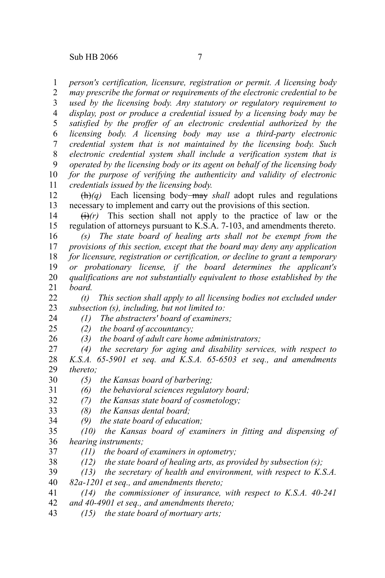Sub HB 2066 7

*person's certification, licensure, registration or permit. A licensing body* 1

*may prescribe the format or requirements of the electronic credential to be used by the licensing body. Any statutory or regulatory requirement to display, post or produce a credential issued by a licensing body may be satisfied by the proffer of an electronic credential authorized by the licensing body. A licensing body may use a third-party electronic credential system that is not maintained by the licensing body. Such electronic credential system shall include a verification system that is operated by the licensing body or its agent on behalf of the licensing body for the purpose of verifying the authenticity and validity of electronic credentials issued by the licensing body.* 2 3 4 5 6 7 8 9 10 11

(h)*(q)* Each licensing body may *shall* adopt rules and regulations necessary to implement and carry out the provisions of this section. 12 13

 $\overrightarrow{(t)}$  This section shall not apply to the practice of law or the regulation of attorneys pursuant to K.S.A. 7-103, and amendments thereto. 14 15

*(s) The state board of healing arts shall not be exempt from the provisions of this section, except that the board may deny any application for licensure, registration or certification, or decline to grant a temporary or probationary license, if the board determines the applicant's qualifications are not substantially equivalent to those established by the board.* 16 17 18 19 20 21

*(t) This section shall apply to all licensing bodies not excluded under subsection (s), including, but not limited to:* 22 23

- *(1) The abstracters' board of examiners;* 24
- *(2) the board of accountancy;* 25
- *(3) the board of adult care home administrators;* 26
- *(4) the secretary for aging and disability services, with respect to K.S.A. 65-5901 et seq. and K.S.A. 65-6503 et seq., and amendments thereto;* 27 28 29
- *(5) the Kansas board of barbering;* 30
- *(6) the behavioral sciences regulatory board;* 31
- *(7) the Kansas state board of cosmetology;* 32
- *(8) the Kansas dental board;* 33
- *(9) the state board of education;* 34
- *(10) the Kansas board of examiners in fitting and dispensing of hearing instruments;* 35 36
- *(11) the board of examiners in optometry;* 37
- *(12) the state board of healing arts, as provided by subsection (s);* 38
- *(13) the secretary of health and environment, with respect to K.S.A.* 39
- *82a-1201 et seq., and amendments thereto;* 40
- *(14) the commissioner of insurance, with respect to K.S.A. 40-241* 41
- *and 40-4901 et seq., and amendments thereto;* 42
- *(15) the state board of mortuary arts;* 43